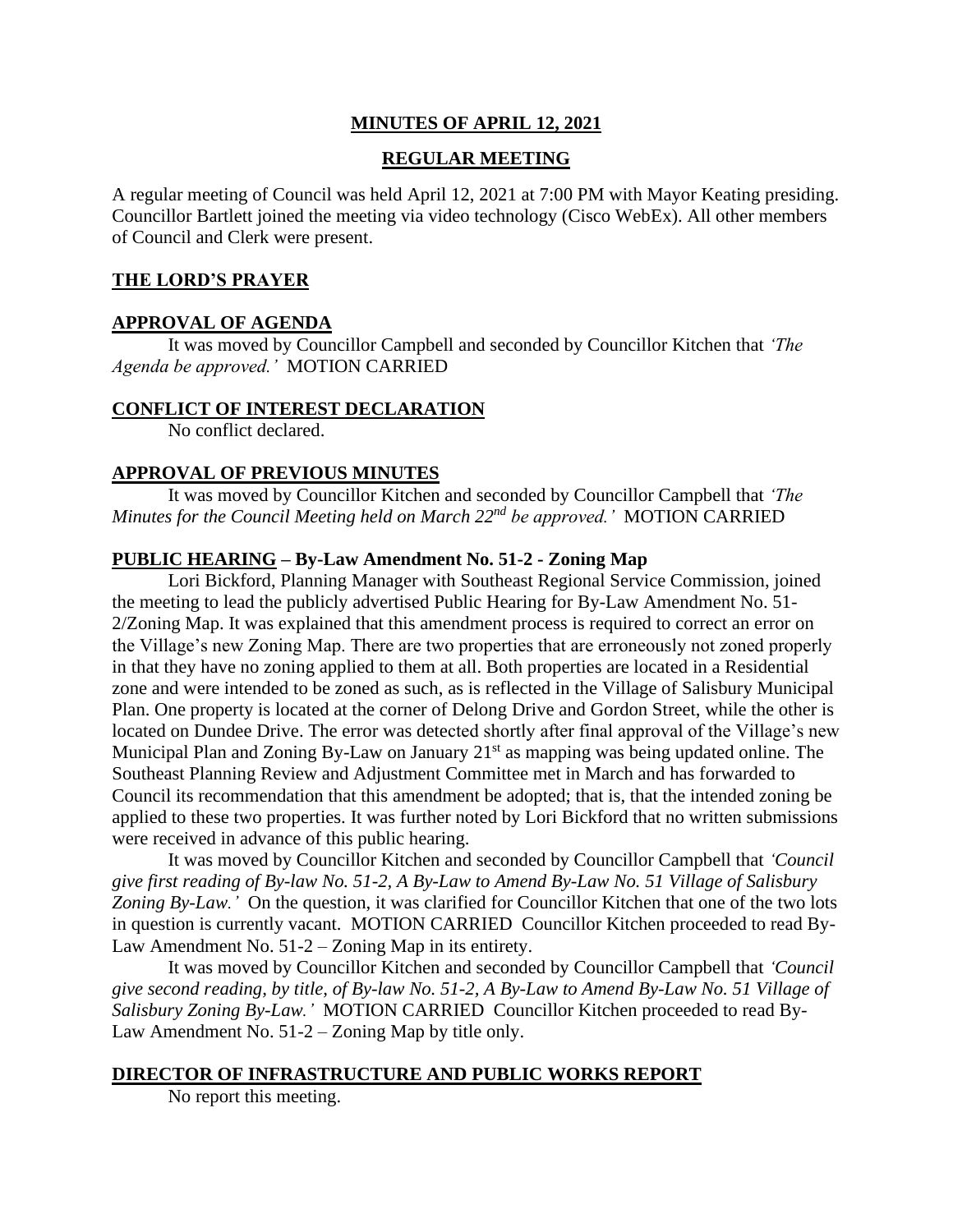## **MINUTES OF APRIL 12, 2021**

### **REGULAR MEETING**

A regular meeting of Council was held April 12, 2021 at 7:00 PM with Mayor Keating presiding. Councillor Bartlett joined the meeting via video technology (Cisco WebEx). All other members of Council and Clerk were present.

#### **THE LORD'S PRAYER**

### **APPROVAL OF AGENDA**

It was moved by Councillor Campbell and seconded by Councillor Kitchen that *'The Agenda be approved.'* MOTION CARRIED

#### **CONFLICT OF INTEREST DECLARATION**

No conflict declared.

#### **APPROVAL OF PREVIOUS MINUTES**

It was moved by Councillor Kitchen and seconded by Councillor Campbell that *'The Minutes for the Council Meeting held on March 22nd be approved.'* MOTION CARRIED

#### **PUBLIC HEARING – By-Law Amendment No. 51-2 - Zoning Map**

Lori Bickford, Planning Manager with Southeast Regional Service Commission, joined the meeting to lead the publicly advertised Public Hearing for By-Law Amendment No. 51- 2/Zoning Map. It was explained that this amendment process is required to correct an error on the Village's new Zoning Map. There are two properties that are erroneously not zoned properly in that they have no zoning applied to them at all. Both properties are located in a Residential zone and were intended to be zoned as such, as is reflected in the Village of Salisbury Municipal Plan. One property is located at the corner of Delong Drive and Gordon Street, while the other is located on Dundee Drive. The error was detected shortly after final approval of the Village's new Municipal Plan and Zoning By-Law on January  $21<sup>st</sup>$  as mapping was being updated online. The Southeast Planning Review and Adjustment Committee met in March and has forwarded to Council its recommendation that this amendment be adopted; that is, that the intended zoning be applied to these two properties. It was further noted by Lori Bickford that no written submissions were received in advance of this public hearing.

It was moved by Councillor Kitchen and seconded by Councillor Campbell that *'Council give first reading of By-law No. 51-2, A By-Law to Amend By-Law No. 51 Village of Salisbury Zoning By-Law.'* On the question, it was clarified for Councillor Kitchen that one of the two lots in question is currently vacant.MOTION CARRIED Councillor Kitchen proceeded to read By-Law Amendment No. 51-2 – Zoning Map in its entirety.

It was moved by Councillor Kitchen and seconded by Councillor Campbell that *'Council give second reading, by title, of By-law No. 51-2, A By-Law to Amend By-Law No. 51 Village of Salisbury Zoning By-Law.'* MOTION CARRIED Councillor Kitchen proceeded to read By-Law Amendment No. 51-2 – Zoning Map by title only.

### **DIRECTOR OF INFRASTRUCTURE AND PUBLIC WORKS REPORT**

No report this meeting.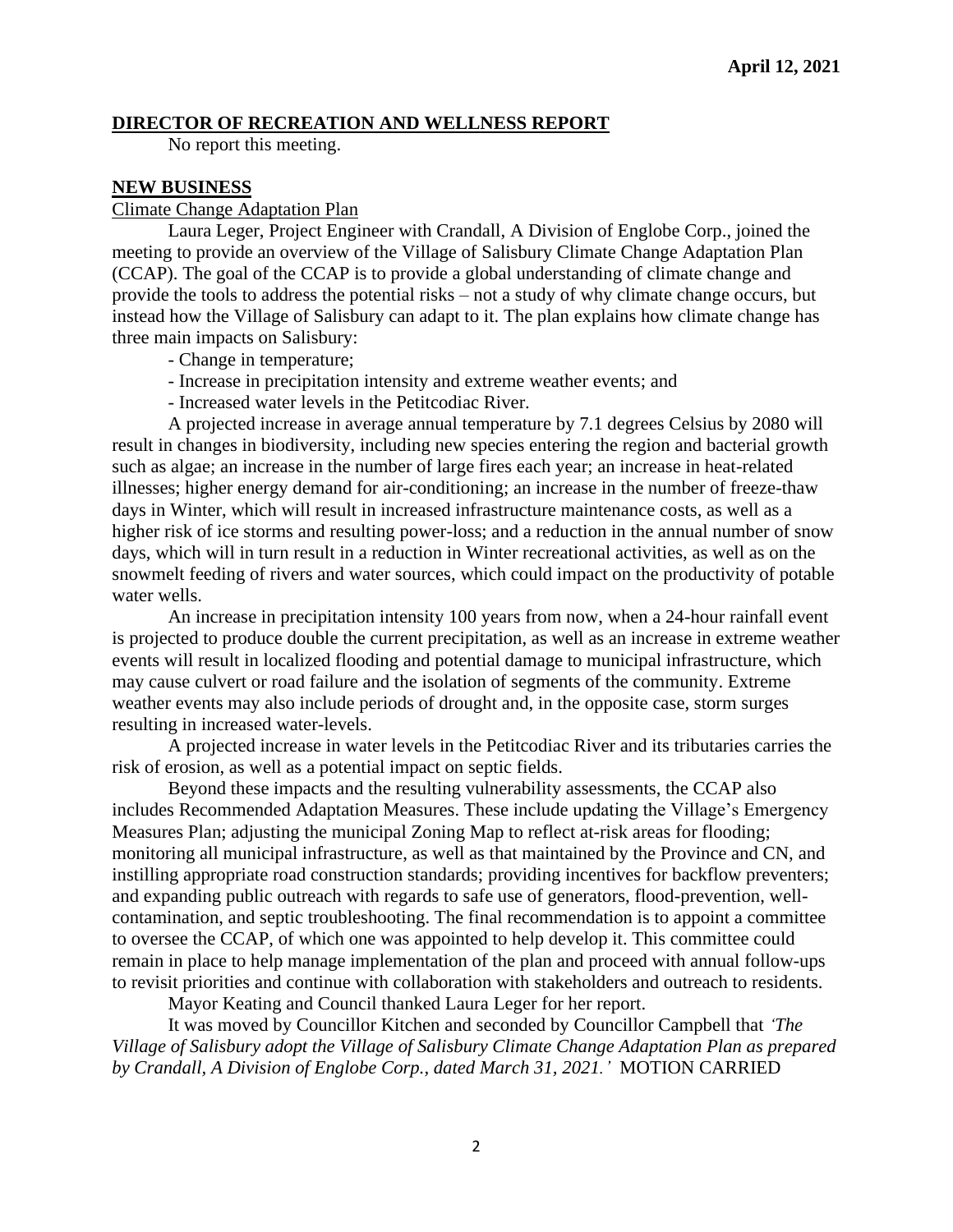### **DIRECTOR OF RECREATION AND WELLNESS REPORT**

No report this meeting.

#### **NEW BUSINESS**

#### Climate Change Adaptation Plan

Laura Leger, Project Engineer with Crandall, A Division of Englobe Corp., joined the meeting to provide an overview of the Village of Salisbury Climate Change Adaptation Plan (CCAP). The goal of the CCAP is to provide a global understanding of climate change and provide the tools to address the potential risks – not a study of why climate change occurs, but instead how the Village of Salisbury can adapt to it. The plan explains how climate change has three main impacts on Salisbury:

- Change in temperature;
- Increase in precipitation intensity and extreme weather events; and
- Increased water levels in the Petitcodiac River.

A projected increase in average annual temperature by 7.1 degrees Celsius by 2080 will result in changes in biodiversity, including new species entering the region and bacterial growth such as algae; an increase in the number of large fires each year; an increase in heat-related illnesses; higher energy demand for air-conditioning; an increase in the number of freeze-thaw days in Winter, which will result in increased infrastructure maintenance costs, as well as a higher risk of ice storms and resulting power-loss; and a reduction in the annual number of snow days, which will in turn result in a reduction in Winter recreational activities, as well as on the snowmelt feeding of rivers and water sources, which could impact on the productivity of potable water wells.

An increase in precipitation intensity 100 years from now, when a 24-hour rainfall event is projected to produce double the current precipitation, as well as an increase in extreme weather events will result in localized flooding and potential damage to municipal infrastructure, which may cause culvert or road failure and the isolation of segments of the community. Extreme weather events may also include periods of drought and, in the opposite case, storm surges resulting in increased water-levels.

A projected increase in water levels in the Petitcodiac River and its tributaries carries the risk of erosion, as well as a potential impact on septic fields.

Beyond these impacts and the resulting vulnerability assessments, the CCAP also includes Recommended Adaptation Measures. These include updating the Village's Emergency Measures Plan; adjusting the municipal Zoning Map to reflect at-risk areas for flooding; monitoring all municipal infrastructure, as well as that maintained by the Province and CN, and instilling appropriate road construction standards; providing incentives for backflow preventers; and expanding public outreach with regards to safe use of generators, flood-prevention, wellcontamination, and septic troubleshooting. The final recommendation is to appoint a committee to oversee the CCAP, of which one was appointed to help develop it. This committee could remain in place to help manage implementation of the plan and proceed with annual follow-ups to revisit priorities and continue with collaboration with stakeholders and outreach to residents.

Mayor Keating and Council thanked Laura Leger for her report.

It was moved by Councillor Kitchen and seconded by Councillor Campbell that *'The Village of Salisbury adopt the Village of Salisbury Climate Change Adaptation Plan as prepared by Crandall, A Division of Englobe Corp., dated March 31, 2021.'* MOTION CARRIED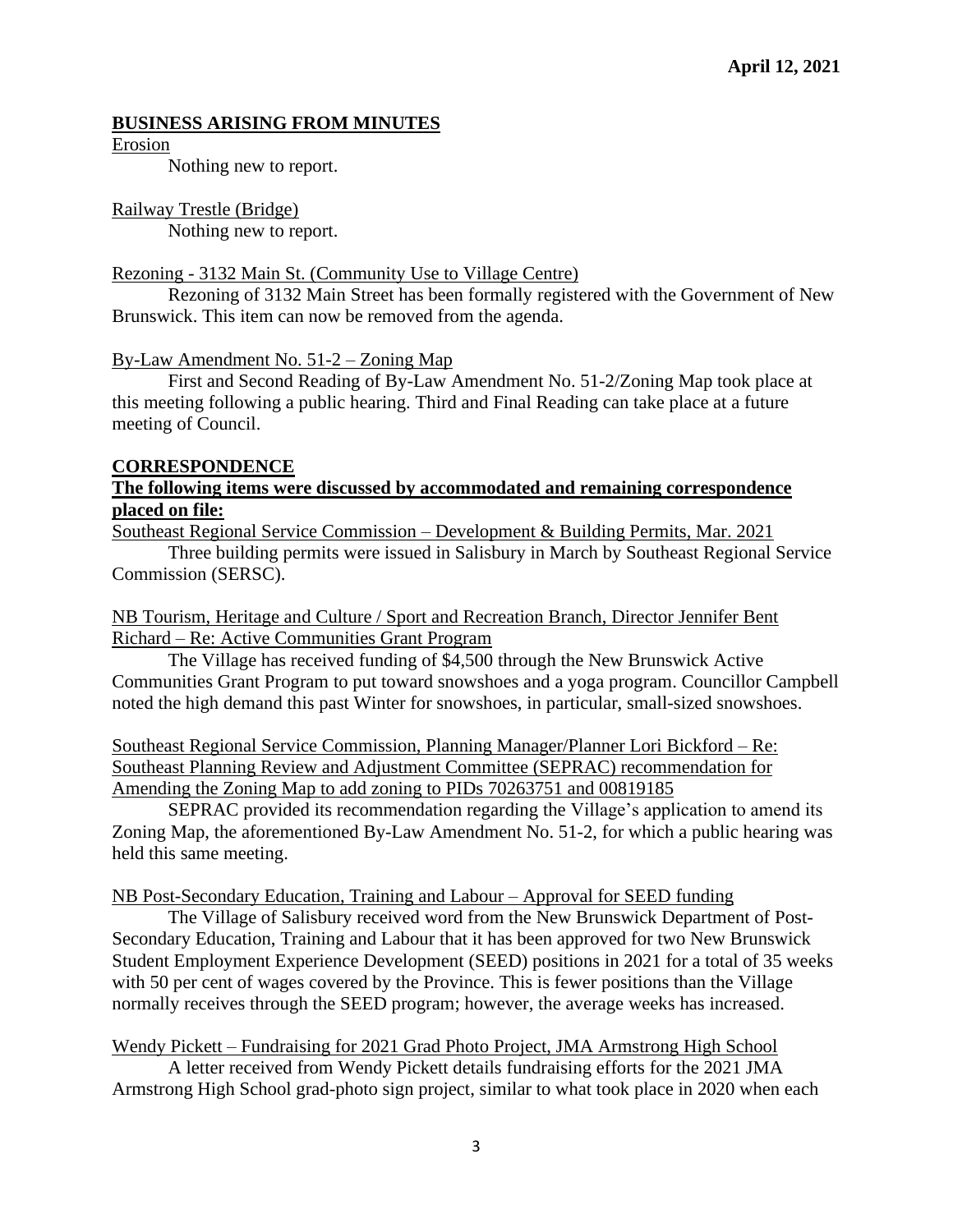## **BUSINESS ARISING FROM MINUTES**

Erosion

Nothing new to report.

#### Railway Trestle (Bridge)

Nothing new to report.

### Rezoning - 3132 Main St. (Community Use to Village Centre)

Rezoning of 3132 Main Street has been formally registered with the Government of New Brunswick. This item can now be removed from the agenda.

### By-Law Amendment No. 51-2 – Zoning Map

First and Second Reading of By-Law Amendment No. 51-2/Zoning Map took place at this meeting following a public hearing. Third and Final Reading can take place at a future meeting of Council.

#### **CORRESPONDENCE**

### **The following items were discussed by accommodated and remaining correspondence placed on file:**

Southeast Regional Service Commission – Development & Building Permits, Mar. 2021

Three building permits were issued in Salisbury in March by Southeast Regional Service Commission (SERSC).

### NB Tourism, Heritage and Culture / Sport and Recreation Branch, Director Jennifer Bent Richard – Re: Active Communities Grant Program

The Village has received funding of \$4,500 through the New Brunswick Active Communities Grant Program to put toward snowshoes and a yoga program. Councillor Campbell noted the high demand this past Winter for snowshoes, in particular, small-sized snowshoes.

Southeast Regional Service Commission, Planning Manager/Planner Lori Bickford – Re: Southeast Planning Review and Adjustment Committee (SEPRAC) recommendation for Amending the Zoning Map to add zoning to PIDs 70263751 and 00819185

SEPRAC provided its recommendation regarding the Village's application to amend its Zoning Map, the aforementioned By-Law Amendment No. 51-2, for which a public hearing was held this same meeting.

#### NB Post-Secondary Education, Training and Labour – Approval for SEED funding

The Village of Salisbury received word from the New Brunswick Department of Post-Secondary Education, Training and Labour that it has been approved for two New Brunswick Student Employment Experience Development (SEED) positions in 2021 for a total of 35 weeks with 50 per cent of wages covered by the Province. This is fewer positions than the Village normally receives through the SEED program; however, the average weeks has increased.

### Wendy Pickett – Fundraising for 2021 Grad Photo Project, JMA Armstrong High School

A letter received from Wendy Pickett details fundraising efforts for the 2021 JMA Armstrong High School grad-photo sign project, similar to what took place in 2020 when each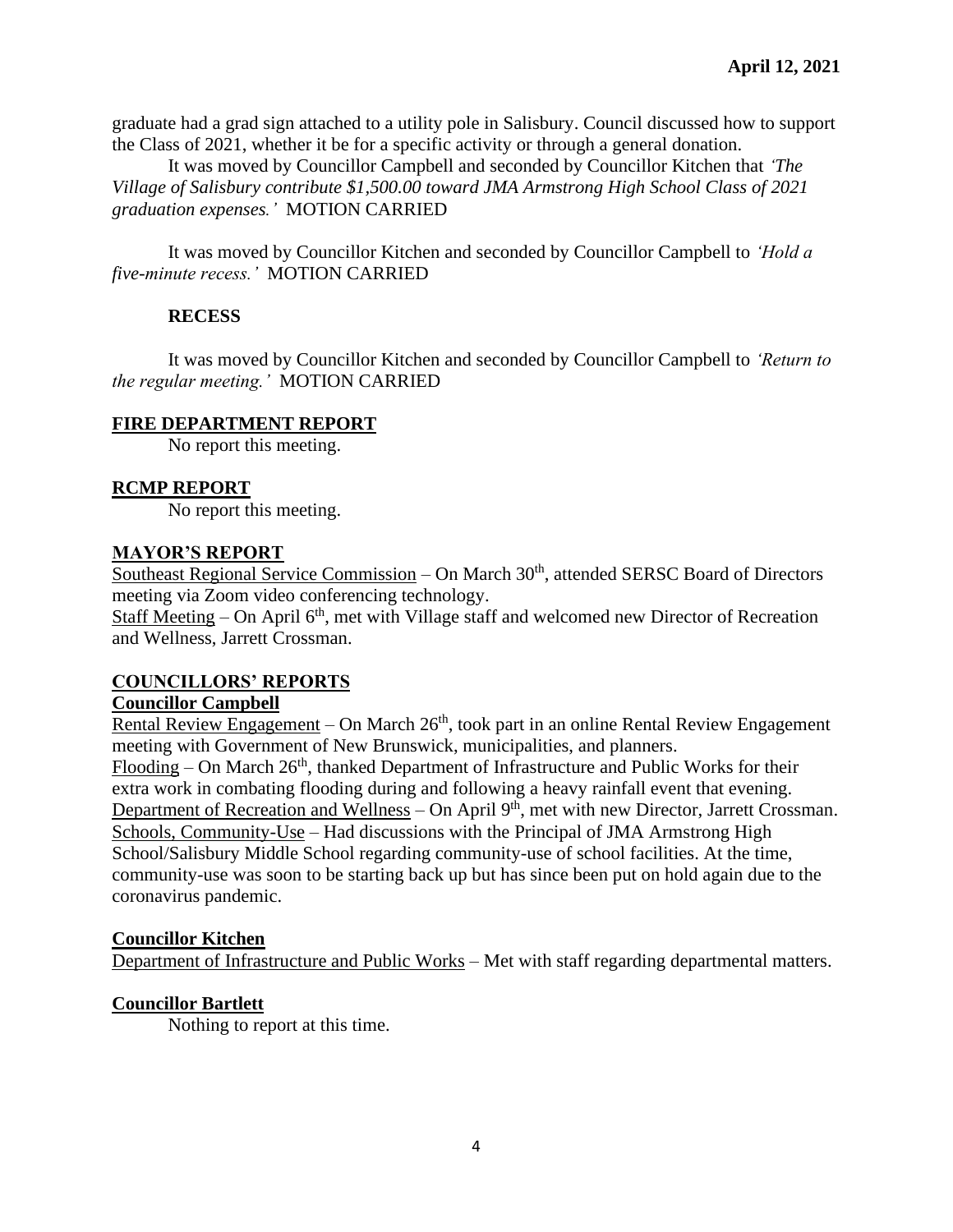graduate had a grad sign attached to a utility pole in Salisbury. Council discussed how to support the Class of 2021, whether it be for a specific activity or through a general donation.

It was moved by Councillor Campbell and seconded by Councillor Kitchen that *'The Village of Salisbury contribute \$1,500.00 toward JMA Armstrong High School Class of 2021 graduation expenses.'* MOTION CARRIED

It was moved by Councillor Kitchen and seconded by Councillor Campbell to *'Hold a five-minute recess.'* MOTION CARRIED

# **RECESS**

It was moved by Councillor Kitchen and seconded by Councillor Campbell to *'Return to the regular meeting.'* MOTION CARRIED

### **FIRE DEPARTMENT REPORT**

No report this meeting.

# **RCMP REPORT**

No report this meeting.

### **MAYOR'S REPORT**

Southeast Regional Service Commission – On March 30<sup>th</sup>, attended SERSC Board of Directors meeting via Zoom video conferencing technology.

Staff Meeting – On April  $6<sup>th</sup>$ , met with Village staff and welcomed new Director of Recreation and Wellness, Jarrett Crossman.

# **COUNCILLORS' REPORTS**

### **Councillor Campbell**

Rental Review Engagement – On March  $26<sup>th</sup>$ , took part in an online Rental Review Engagement meeting with Government of New Brunswick, municipalities, and planners.

Flooding – On March  $26<sup>th</sup>$ , thanked Department of Infrastructure and Public Works for their extra work in combating flooding during and following a heavy rainfall event that evening. Department of Recreation and Wellness – On April 9<sup>th</sup>, met with new Director, Jarrett Crossman. Schools, Community-Use – Had discussions with the Principal of JMA Armstrong High School/Salisbury Middle School regarding community-use of school facilities. At the time, community-use was soon to be starting back up but has since been put on hold again due to the coronavirus pandemic.

### **Councillor Kitchen**

Department of Infrastructure and Public Works – Met with staff regarding departmental matters.

# **Councillor Bartlett**

Nothing to report at this time.